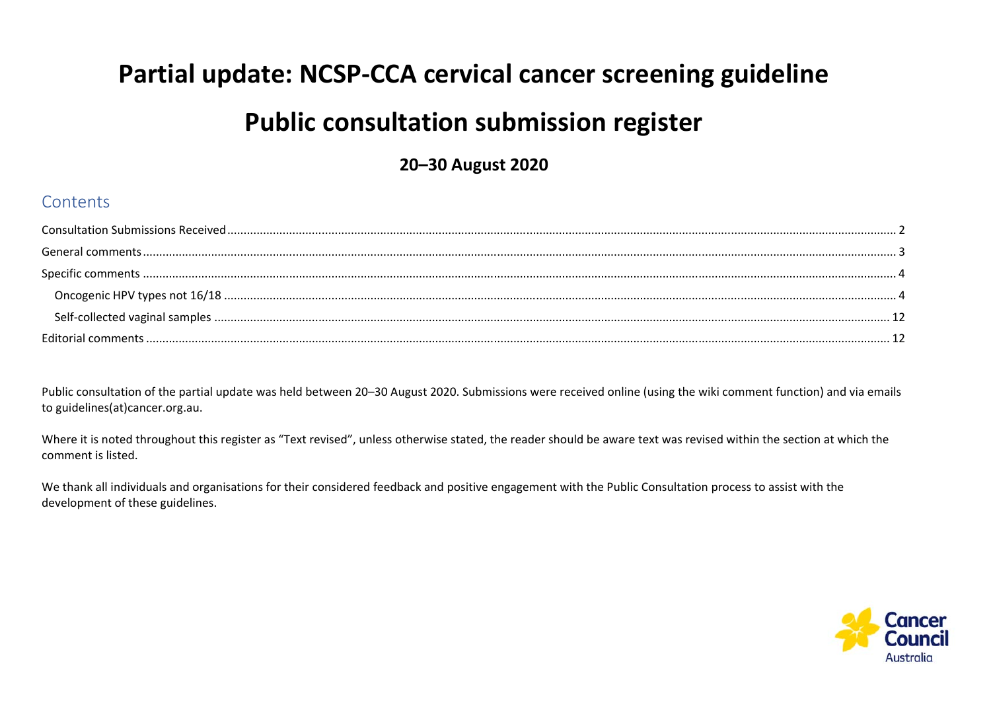# **Partial update: NCSP‐CCA cervical cancer screening guideline Public consultation submission register**

**20–30 August 2020** 

#### **Contents**

| <b>Editorial comments</b> |  |
|---------------------------|--|

Public consultation of the partial update was held between 20–30 August 2020. Submissions were received online (using the wiki comment function) and via emails to guidelines(at)cancer.org.au.

Where it is noted throughout this register as "Text revised", unless otherwise stated, the reader should be aware text was revised within the section at which the comment is listed.

We thank all individuals and organisations for their considered feedback and positive engagement with the Public Consultation process to assist with the development of these guidelines.

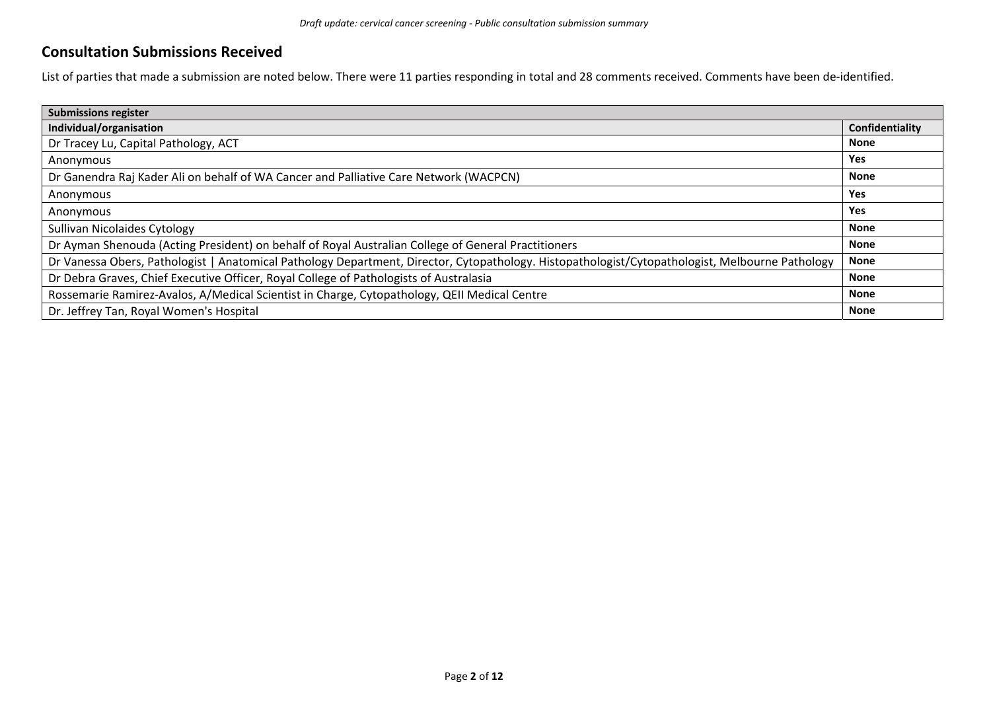#### **Consultation Submissions Received**

List of parties that made a submission are noted below. There were 11 parties responding in total and 28 comments received. Comments have been de-identified.

| <b>Submissions register</b>                                                                                                                     |                 |  |
|-------------------------------------------------------------------------------------------------------------------------------------------------|-----------------|--|
| Individual/organisation                                                                                                                         | Confidentiality |  |
| Dr Tracey Lu, Capital Pathology, ACT                                                                                                            | <b>None</b>     |  |
| Anonymous                                                                                                                                       | Yes             |  |
| Dr Ganendra Raj Kader Ali on behalf of WA Cancer and Palliative Care Network (WACPCN)                                                           | <b>None</b>     |  |
| Anonymous                                                                                                                                       | Yes             |  |
| Anonymous                                                                                                                                       | Yes             |  |
| <b>Sullivan Nicolaides Cytology</b>                                                                                                             | <b>None</b>     |  |
| Dr Ayman Shenouda (Acting President) on behalf of Royal Australian College of General Practitioners                                             | <b>None</b>     |  |
| Dr Vanessa Obers, Pathologist   Anatomical Pathology Department, Director, Cytopathology. Histopathologist/Cytopathologist, Melbourne Pathology | <b>None</b>     |  |
| Dr Debra Graves, Chief Executive Officer, Royal College of Pathologists of Australasia                                                          | <b>None</b>     |  |
| Rossemarie Ramirez-Avalos, A/Medical Scientist in Charge, Cytopathology, QEII Medical Centre                                                    | <b>None</b>     |  |
| Dr. Jeffrey Tan, Royal Women's Hospital                                                                                                         | <b>None</b>     |  |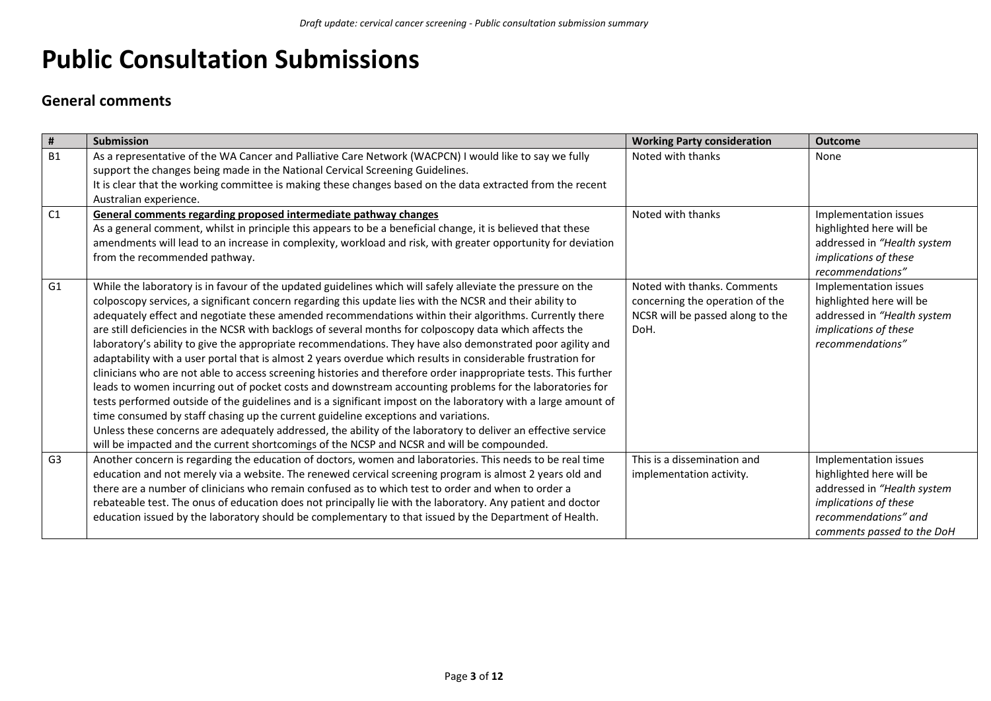## **Public Consultation Submissions**

#### **General comments**

| $\pmb{\sharp}$ | <b>Submission</b>                                                                                                                                                                                                                                                                                                                                                                                                                                                                                                                                                                                                                                                                                                                                                                                                                                                                                                                                                                                                                                                                                                                                                                                                                                                                                                                 | <b>Working Party consideration</b>                                                                         | <b>Outcome</b>                                                                                                                                                  |
|----------------|-----------------------------------------------------------------------------------------------------------------------------------------------------------------------------------------------------------------------------------------------------------------------------------------------------------------------------------------------------------------------------------------------------------------------------------------------------------------------------------------------------------------------------------------------------------------------------------------------------------------------------------------------------------------------------------------------------------------------------------------------------------------------------------------------------------------------------------------------------------------------------------------------------------------------------------------------------------------------------------------------------------------------------------------------------------------------------------------------------------------------------------------------------------------------------------------------------------------------------------------------------------------------------------------------------------------------------------|------------------------------------------------------------------------------------------------------------|-----------------------------------------------------------------------------------------------------------------------------------------------------------------|
| <b>B1</b>      | As a representative of the WA Cancer and Palliative Care Network (WACPCN) I would like to say we fully<br>support the changes being made in the National Cervical Screening Guidelines.<br>It is clear that the working committee is making these changes based on the data extracted from the recent<br>Australian experience.                                                                                                                                                                                                                                                                                                                                                                                                                                                                                                                                                                                                                                                                                                                                                                                                                                                                                                                                                                                                   | Noted with thanks                                                                                          | None                                                                                                                                                            |
| C1             | General comments regarding proposed intermediate pathway changes<br>As a general comment, whilst in principle this appears to be a beneficial change, it is believed that these<br>amendments will lead to an increase in complexity, workload and risk, with greater opportunity for deviation<br>from the recommended pathway.                                                                                                                                                                                                                                                                                                                                                                                                                                                                                                                                                                                                                                                                                                                                                                                                                                                                                                                                                                                                  | Noted with thanks                                                                                          | Implementation issues<br>highlighted here will be<br>addressed in "Health system<br>implications of these<br>recommendations"                                   |
| G <sub>1</sub> | While the laboratory is in favour of the updated guidelines which will safely alleviate the pressure on the<br>colposcopy services, a significant concern regarding this update lies with the NCSR and their ability to<br>adequately effect and negotiate these amended recommendations within their algorithms. Currently there<br>are still deficiencies in the NCSR with backlogs of several months for colposcopy data which affects the<br>laboratory's ability to give the appropriate recommendations. They have also demonstrated poor agility and<br>adaptability with a user portal that is almost 2 years overdue which results in considerable frustration for<br>clinicians who are not able to access screening histories and therefore order inappropriate tests. This further<br>leads to women incurring out of pocket costs and downstream accounting problems for the laboratories for<br>tests performed outside of the guidelines and is a significant impost on the laboratory with a large amount of<br>time consumed by staff chasing up the current guideline exceptions and variations.<br>Unless these concerns are adequately addressed, the ability of the laboratory to deliver an effective service<br>will be impacted and the current shortcomings of the NCSP and NCSR and will be compounded. | Noted with thanks. Comments<br>concerning the operation of the<br>NCSR will be passed along to the<br>DoH. | Implementation issues<br>highlighted here will be<br>addressed in "Health system<br>implications of these<br>recommendations"                                   |
| G <sub>3</sub> | Another concern is regarding the education of doctors, women and laboratories. This needs to be real time<br>education and not merely via a website. The renewed cervical screening program is almost 2 years old and<br>there are a number of clinicians who remain confused as to which test to order and when to order a<br>rebateable test. The onus of education does not principally lie with the laboratory. Any patient and doctor<br>education issued by the laboratory should be complementary to that issued by the Department of Health.                                                                                                                                                                                                                                                                                                                                                                                                                                                                                                                                                                                                                                                                                                                                                                              | This is a dissemination and<br>implementation activity.                                                    | Implementation issues<br>highlighted here will be<br>addressed in "Health system<br>implications of these<br>recommendations" and<br>comments passed to the DoH |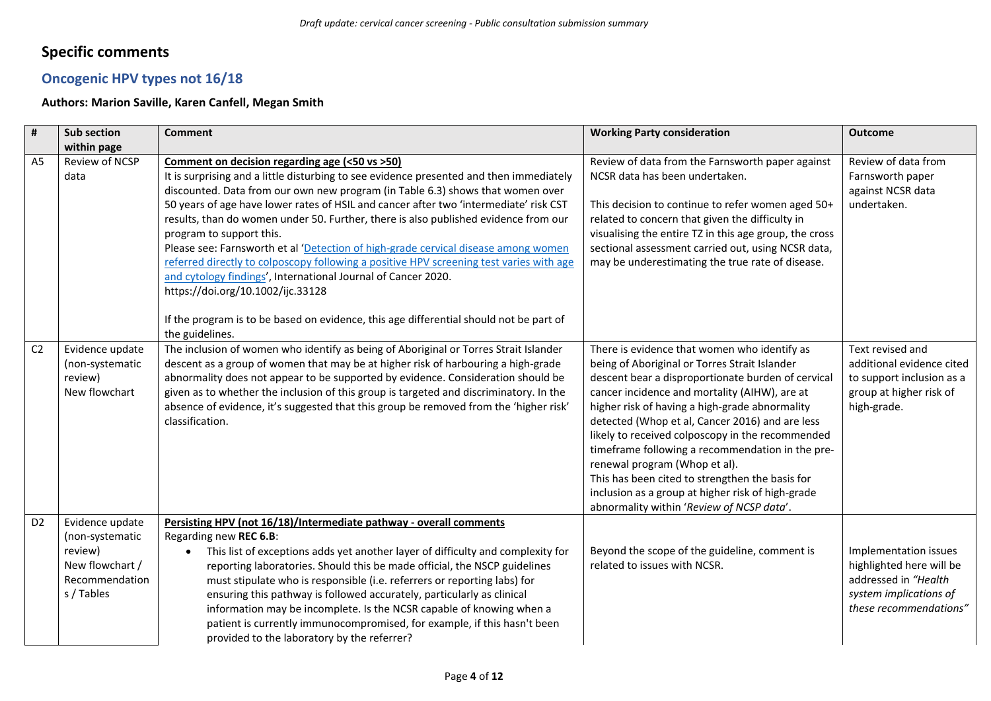### **Specific comments**

#### **Oncogenic HPV types not 16/18**

#### **Authors: Marion Saville, Karen Canfell, Megan Smith**

| #              | Sub section                                                                                      | <b>Comment</b>                                                                                                                                                                                                                                                                                                                                                                                                                                                                                                                                                                                                                                                                                                                                                                                                           | <b>Working Party consideration</b>                                                                                                                                                                                                                                                                                                                                                                                                                                                                                                                                                                      | <b>Outcome</b>                                                                                                                |
|----------------|--------------------------------------------------------------------------------------------------|--------------------------------------------------------------------------------------------------------------------------------------------------------------------------------------------------------------------------------------------------------------------------------------------------------------------------------------------------------------------------------------------------------------------------------------------------------------------------------------------------------------------------------------------------------------------------------------------------------------------------------------------------------------------------------------------------------------------------------------------------------------------------------------------------------------------------|---------------------------------------------------------------------------------------------------------------------------------------------------------------------------------------------------------------------------------------------------------------------------------------------------------------------------------------------------------------------------------------------------------------------------------------------------------------------------------------------------------------------------------------------------------------------------------------------------------|-------------------------------------------------------------------------------------------------------------------------------|
|                | within page                                                                                      |                                                                                                                                                                                                                                                                                                                                                                                                                                                                                                                                                                                                                                                                                                                                                                                                                          |                                                                                                                                                                                                                                                                                                                                                                                                                                                                                                                                                                                                         |                                                                                                                               |
| A <sub>5</sub> | Review of NCSP<br>data                                                                           | Comment on decision regarding age (<50 vs >50)<br>It is surprising and a little disturbing to see evidence presented and then immediately<br>discounted. Data from our own new program (in Table 6.3) shows that women over<br>50 years of age have lower rates of HSIL and cancer after two 'intermediate' risk CST<br>results, than do women under 50. Further, there is also published evidence from our<br>program to support this.<br>Please see: Farnsworth et al 'Detection of high-grade cervical disease among women<br>referred directly to colposcopy following a positive HPV screening test varies with age<br>and cytology findings', International Journal of Cancer 2020.<br>https://doi.org/10.1002/ijc.33128<br>If the program is to be based on evidence, this age differential should not be part of | Review of data from the Farnsworth paper against<br>NCSR data has been undertaken.<br>This decision to continue to refer women aged 50+<br>related to concern that given the difficulty in<br>visualising the entire TZ in this age group, the cross<br>sectional assessment carried out, using NCSR data,<br>may be underestimating the true rate of disease.                                                                                                                                                                                                                                          | Review of data from<br>Farnsworth paper<br>against NCSR data<br>undertaken.                                                   |
|                |                                                                                                  | the guidelines.                                                                                                                                                                                                                                                                                                                                                                                                                                                                                                                                                                                                                                                                                                                                                                                                          |                                                                                                                                                                                                                                                                                                                                                                                                                                                                                                                                                                                                         |                                                                                                                               |
| C <sub>2</sub> | Evidence update<br>(non-systematic<br>review)<br>New flowchart                                   | The inclusion of women who identify as being of Aboriginal or Torres Strait Islander<br>descent as a group of women that may be at higher risk of harbouring a high-grade<br>abnormality does not appear to be supported by evidence. Consideration should be<br>given as to whether the inclusion of this group is targeted and discriminatory. In the<br>absence of evidence, it's suggested that this group be removed from the 'higher risk'<br>classification.                                                                                                                                                                                                                                                                                                                                                      | There is evidence that women who identify as<br>being of Aboriginal or Torres Strait Islander<br>descent bear a disproportionate burden of cervical<br>cancer incidence and mortality (AIHW), are at<br>higher risk of having a high-grade abnormality<br>detected (Whop et al, Cancer 2016) and are less<br>likely to received colposcopy in the recommended<br>timeframe following a recommendation in the pre-<br>renewal program (Whop et al).<br>This has been cited to strengthen the basis for<br>inclusion as a group at higher risk of high-grade<br>abnormality within 'Review of NCSP data'. | Text revised and<br>additional evidence cited<br>to support inclusion as a<br>group at higher risk of<br>high-grade.          |
| D <sub>2</sub> | Evidence update<br>(non-systematic<br>review)<br>New flowchart /<br>Recommendation<br>s / Tables | Persisting HPV (not 16/18)/Intermediate pathway - overall comments<br>Regarding new REC 6.B:<br>This list of exceptions adds yet another layer of difficulty and complexity for<br>$\bullet$<br>reporting laboratories. Should this be made official, the NSCP guidelines<br>must stipulate who is responsible (i.e. referrers or reporting labs) for<br>ensuring this pathway is followed accurately, particularly as clinical<br>information may be incomplete. Is the NCSR capable of knowing when a<br>patient is currently immunocompromised, for example, if this hasn't been<br>provided to the laboratory by the referrer?                                                                                                                                                                                       | Beyond the scope of the guideline, comment is<br>related to issues with NCSR.                                                                                                                                                                                                                                                                                                                                                                                                                                                                                                                           | Implementation issues<br>highlighted here will be<br>addressed in "Health<br>system implications of<br>these recommendations" |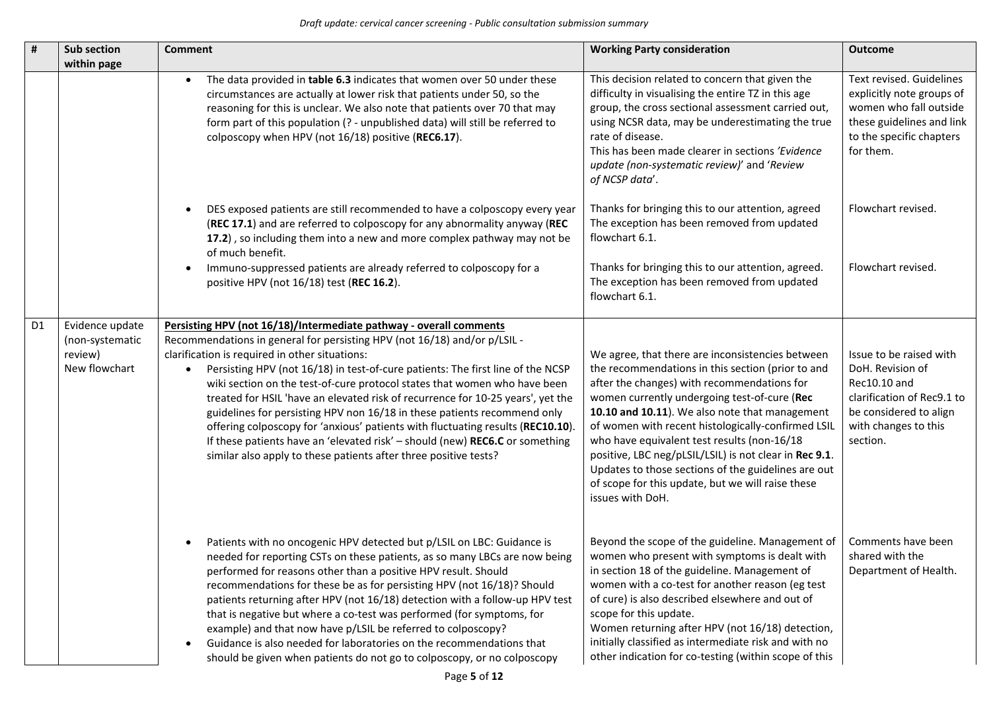| #              | <b>Sub section</b><br>within page                              | <b>Comment</b>                                                                                                                                                                                                                                                                                                                                                                                                                                                                                                                                                                                                                                                                                                                                                         | <b>Working Party consideration</b>                                                                                                                                                                                                                                                                                                                                                                                                                                                                                                                    | <b>Outcome</b>                                                                                                                                          |
|----------------|----------------------------------------------------------------|------------------------------------------------------------------------------------------------------------------------------------------------------------------------------------------------------------------------------------------------------------------------------------------------------------------------------------------------------------------------------------------------------------------------------------------------------------------------------------------------------------------------------------------------------------------------------------------------------------------------------------------------------------------------------------------------------------------------------------------------------------------------|-------------------------------------------------------------------------------------------------------------------------------------------------------------------------------------------------------------------------------------------------------------------------------------------------------------------------------------------------------------------------------------------------------------------------------------------------------------------------------------------------------------------------------------------------------|---------------------------------------------------------------------------------------------------------------------------------------------------------|
|                |                                                                | The data provided in table 6.3 indicates that women over 50 under these<br>$\bullet$<br>circumstances are actually at lower risk that patients under 50, so the<br>reasoning for this is unclear. We also note that patients over 70 that may<br>form part of this population (? - unpublished data) will still be referred to<br>colposcopy when HPV (not 16/18) positive (REC6.17).                                                                                                                                                                                                                                                                                                                                                                                  | This decision related to concern that given the<br>difficulty in visualising the entire TZ in this age<br>group, the cross sectional assessment carried out,<br>using NCSR data, may be underestimating the true<br>rate of disease.<br>This has been made clearer in sections 'Evidence<br>update (non-systematic review)' and 'Review<br>of NCSP data'.                                                                                                                                                                                             | Text revised. Guidelines<br>explicitly note groups of<br>women who fall outside<br>these guidelines and link<br>to the specific chapters<br>for them.   |
|                |                                                                | DES exposed patients are still recommended to have a colposcopy every year<br>(REC 17.1) and are referred to colposcopy for any abnormality anyway (REC<br>17.2), so including them into a new and more complex pathway may not be<br>of much benefit.                                                                                                                                                                                                                                                                                                                                                                                                                                                                                                                 | Thanks for bringing this to our attention, agreed<br>The exception has been removed from updated<br>flowchart 6.1.                                                                                                                                                                                                                                                                                                                                                                                                                                    | Flowchart revised.                                                                                                                                      |
|                |                                                                | Immuno-suppressed patients are already referred to colposcopy for a<br>positive HPV (not 16/18) test (REC 16.2).                                                                                                                                                                                                                                                                                                                                                                                                                                                                                                                                                                                                                                                       | Thanks for bringing this to our attention, agreed.<br>The exception has been removed from updated<br>flowchart 6.1.                                                                                                                                                                                                                                                                                                                                                                                                                                   | Flowchart revised.                                                                                                                                      |
| D <sub>1</sub> | Evidence update<br>(non-systematic<br>review)<br>New flowchart | Persisting HPV (not 16/18)/Intermediate pathway - overall comments<br>Recommendations in general for persisting HPV (not 16/18) and/or p/LSIL -<br>clarification is required in other situations:<br>Persisting HPV (not 16/18) in test-of-cure patients: The first line of the NCSP<br>wiki section on the test-of-cure protocol states that women who have been<br>treated for HSIL 'have an elevated risk of recurrence for 10-25 years', yet the<br>guidelines for persisting HPV non 16/18 in these patients recommend only<br>offering colposcopy for 'anxious' patients with fluctuating results (REC10.10)<br>If these patients have an 'elevated risk' - should (new) REC6.C or something<br>similar also apply to these patients after three positive tests? | We agree, that there are inconsistencies between<br>the recommendations in this section (prior to and<br>after the changes) with recommendations for<br>women currently undergoing test-of-cure (Rec<br>10.10 and 10.11). We also note that management<br>of women with recent histologically-confirmed LSIL<br>who have equivalent test results (non-16/18<br>positive, LBC neg/pLSIL/LSIL) is not clear in Rec 9.1.<br>Updates to those sections of the guidelines are out<br>of scope for this update, but we will raise these<br>issues with DoH. | Issue to be raised with<br>DoH. Revision of<br>Rec10.10 and<br>clarification of Rec9.1 to<br>be considered to align<br>with changes to this<br>section. |
|                |                                                                | Patients with no oncogenic HPV detected but p/LSIL on LBC: Guidance is<br>needed for reporting CSTs on these patients, as so many LBCs are now being<br>performed for reasons other than a positive HPV result. Should<br>recommendations for these be as for persisting HPV (not 16/18)? Should<br>patients returning after HPV (not 16/18) detection with a follow-up HPV test<br>that is negative but where a co-test was performed (for symptoms, for<br>example) and that now have p/LSIL be referred to colposcopy?<br>Guidance is also needed for laboratories on the recommendations that<br>$\bullet$<br>should be given when patients do not go to colposcopy, or no colposcopy                                                                              | Beyond the scope of the guideline. Management of<br>women who present with symptoms is dealt with<br>in section 18 of the guideline. Management of<br>women with a co-test for another reason (eg test<br>of cure) is also described elsewhere and out of<br>scope for this update.<br>Women returning after HPV (not 16/18) detection,<br>initially classified as intermediate risk and with no<br>other indication for co-testing (within scope of this                                                                                             | Comments have been<br>shared with the<br>Department of Health.                                                                                          |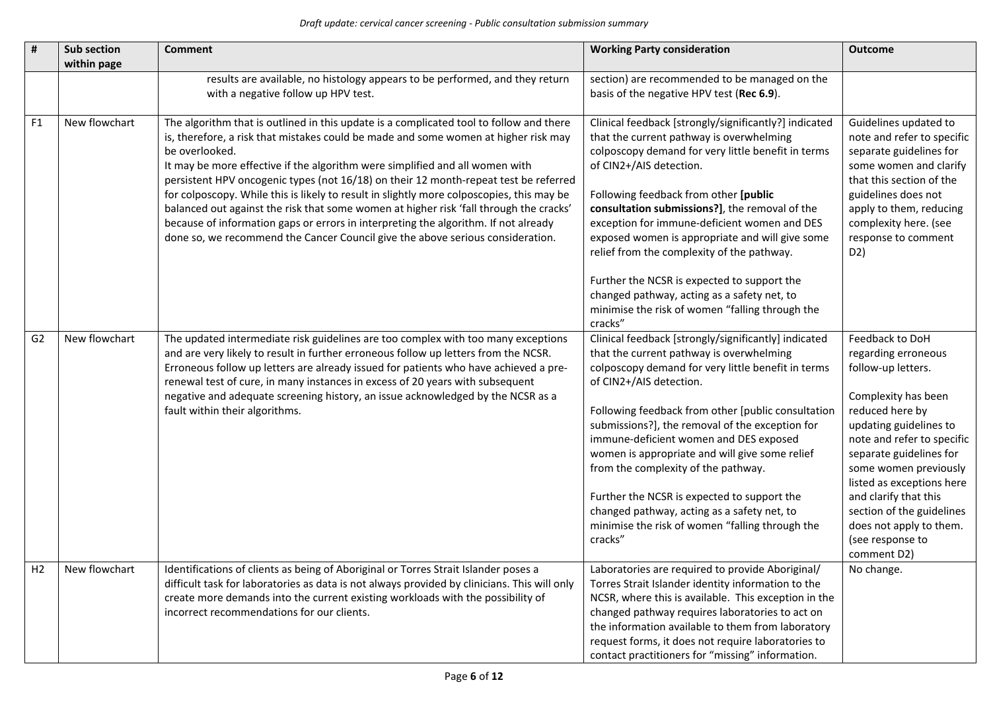| #              | Sub section<br>within page | <b>Comment</b>                                                                                                                                                                                                                                                                                                                                                                                                                                                                                                                                                                                                                                                                                                                           | <b>Working Party consideration</b>                                                                                                                                                                                                                                                                                                                                                                                                                                                                                                                                                         | <b>Outcome</b>                                                                                                                                                                                                                                                                                                                                                      |
|----------------|----------------------------|------------------------------------------------------------------------------------------------------------------------------------------------------------------------------------------------------------------------------------------------------------------------------------------------------------------------------------------------------------------------------------------------------------------------------------------------------------------------------------------------------------------------------------------------------------------------------------------------------------------------------------------------------------------------------------------------------------------------------------------|--------------------------------------------------------------------------------------------------------------------------------------------------------------------------------------------------------------------------------------------------------------------------------------------------------------------------------------------------------------------------------------------------------------------------------------------------------------------------------------------------------------------------------------------------------------------------------------------|---------------------------------------------------------------------------------------------------------------------------------------------------------------------------------------------------------------------------------------------------------------------------------------------------------------------------------------------------------------------|
|                |                            | results are available, no histology appears to be performed, and they return<br>with a negative follow up HPV test.                                                                                                                                                                                                                                                                                                                                                                                                                                                                                                                                                                                                                      | section) are recommended to be managed on the<br>basis of the negative HPV test (Rec 6.9).                                                                                                                                                                                                                                                                                                                                                                                                                                                                                                 |                                                                                                                                                                                                                                                                                                                                                                     |
| F <sub>1</sub> | New flowchart              | The algorithm that is outlined in this update is a complicated tool to follow and there<br>is, therefore, a risk that mistakes could be made and some women at higher risk may<br>be overlooked.<br>It may be more effective if the algorithm were simplified and all women with<br>persistent HPV oncogenic types (not 16/18) on their 12 month-repeat test be referred<br>for colposcopy. While this is likely to result in slightly more colposcopies, this may be<br>balanced out against the risk that some women at higher risk 'fall through the cracks'<br>because of information gaps or errors in interpreting the algorithm. If not already<br>done so, we recommend the Cancer Council give the above serious consideration. | Clinical feedback [strongly/significantly?] indicated<br>that the current pathway is overwhelming<br>colposcopy demand for very little benefit in terms<br>of CIN2+/AIS detection.<br>Following feedback from other [public<br>consultation submissions?], the removal of the<br>exception for immune-deficient women and DES<br>exposed women is appropriate and will give some<br>relief from the complexity of the pathway.<br>Further the NCSR is expected to support the<br>changed pathway, acting as a safety net, to<br>minimise the risk of women "falling through the<br>cracks" | Guidelines updated to<br>note and refer to specific<br>separate guidelines for<br>some women and clarify<br>that this section of the<br>guidelines does not<br>apply to them, reducing<br>complexity here. (see<br>response to comment<br>D <sub>2</sub> )                                                                                                          |
| G <sub>2</sub> | New flowchart              | The updated intermediate risk guidelines are too complex with too many exceptions<br>and are very likely to result in further erroneous follow up letters from the NCSR.<br>Erroneous follow up letters are already issued for patients who have achieved a pre-<br>renewal test of cure, in many instances in excess of 20 years with subsequent<br>negative and adequate screening history, an issue acknowledged by the NCSR as a<br>fault within their algorithms.                                                                                                                                                                                                                                                                   | Clinical feedback [strongly/significantly] indicated<br>that the current pathway is overwhelming<br>colposcopy demand for very little benefit in terms<br>of CIN2+/AIS detection.<br>Following feedback from other [public consultation<br>submissions?], the removal of the exception for<br>immune-deficient women and DES exposed<br>women is appropriate and will give some relief<br>from the complexity of the pathway.<br>Further the NCSR is expected to support the<br>changed pathway, acting as a safety net, to<br>minimise the risk of women "falling through the<br>cracks"  | Feedback to DoH<br>regarding erroneous<br>follow-up letters.<br>Complexity has been<br>reduced here by<br>updating guidelines to<br>note and refer to specific<br>separate guidelines for<br>some women previously<br>listed as exceptions here<br>and clarify that this<br>section of the guidelines<br>does not apply to them.<br>(see response to<br>comment D2) |
| H <sub>2</sub> | New flowchart              | Identifications of clients as being of Aboriginal or Torres Strait Islander poses a<br>difficult task for laboratories as data is not always provided by clinicians. This will only<br>create more demands into the current existing workloads with the possibility of<br>incorrect recommendations for our clients.                                                                                                                                                                                                                                                                                                                                                                                                                     | Laboratories are required to provide Aboriginal/<br>Torres Strait Islander identity information to the<br>NCSR, where this is available. This exception in the<br>changed pathway requires laboratories to act on<br>the information available to them from laboratory<br>request forms, it does not require laboratories to<br>contact practitioners for "missing" information.                                                                                                                                                                                                           | No change.                                                                                                                                                                                                                                                                                                                                                          |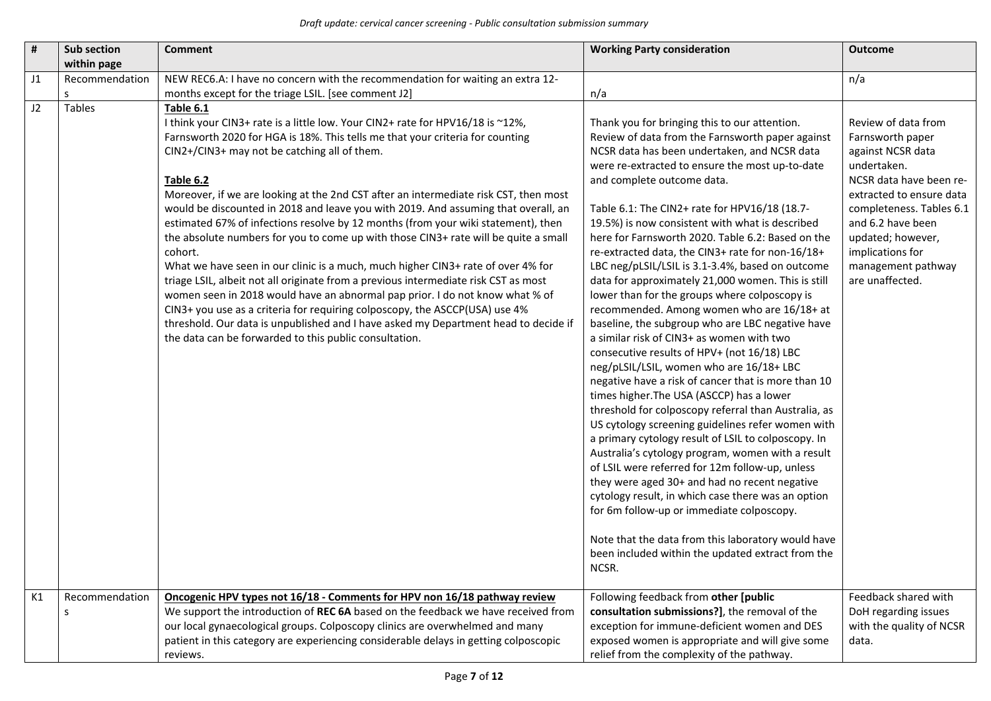| $\pmb{\sharp}$ | Sub section<br>within page     | <b>Comment</b>                                                                                                                                                                                                                                                                                                                                                                                                                                                                                                                                                                                                                                                                                                                                                                                                                                                                                                                                                                                                                                                                                            | <b>Working Party consideration</b>                                                                                                                                                                                                                                                                                                                                                                                                                                                                                                                                                                                                                                                                                                                                                                                                                                                                                                                                                                                                                                                                                                                                                                                                                                                                                                                                                                                                                                                                           | <b>Outcome</b>                                                                                                                                                                                                                                                        |
|----------------|--------------------------------|-----------------------------------------------------------------------------------------------------------------------------------------------------------------------------------------------------------------------------------------------------------------------------------------------------------------------------------------------------------------------------------------------------------------------------------------------------------------------------------------------------------------------------------------------------------------------------------------------------------------------------------------------------------------------------------------------------------------------------------------------------------------------------------------------------------------------------------------------------------------------------------------------------------------------------------------------------------------------------------------------------------------------------------------------------------------------------------------------------------|--------------------------------------------------------------------------------------------------------------------------------------------------------------------------------------------------------------------------------------------------------------------------------------------------------------------------------------------------------------------------------------------------------------------------------------------------------------------------------------------------------------------------------------------------------------------------------------------------------------------------------------------------------------------------------------------------------------------------------------------------------------------------------------------------------------------------------------------------------------------------------------------------------------------------------------------------------------------------------------------------------------------------------------------------------------------------------------------------------------------------------------------------------------------------------------------------------------------------------------------------------------------------------------------------------------------------------------------------------------------------------------------------------------------------------------------------------------------------------------------------------------|-----------------------------------------------------------------------------------------------------------------------------------------------------------------------------------------------------------------------------------------------------------------------|
| J1             | Recommendation<br><sub>S</sub> | NEW REC6.A: I have no concern with the recommendation for waiting an extra 12-<br>months except for the triage LSIL. [see comment J2]                                                                                                                                                                                                                                                                                                                                                                                                                                                                                                                                                                                                                                                                                                                                                                                                                                                                                                                                                                     | n/a                                                                                                                                                                                                                                                                                                                                                                                                                                                                                                                                                                                                                                                                                                                                                                                                                                                                                                                                                                                                                                                                                                                                                                                                                                                                                                                                                                                                                                                                                                          | n/a                                                                                                                                                                                                                                                                   |
| J2             | Tables                         | Table 6.1<br>I think your CIN3+ rate is a little low. Your CIN2+ rate for HPV16/18 is ~12%,<br>Farnsworth 2020 for HGA is 18%. This tells me that your criteria for counting<br>CIN2+/CIN3+ may not be catching all of them.<br>Table 6.2<br>Moreover, if we are looking at the 2nd CST after an intermediate risk CST, then most<br>would be discounted in 2018 and leave you with 2019. And assuming that overall, an<br>estimated 67% of infections resolve by 12 months (from your wiki statement), then<br>the absolute numbers for you to come up with those CIN3+ rate will be quite a small<br>cohort.<br>What we have seen in our clinic is a much, much higher CIN3+ rate of over 4% for<br>triage LSIL, albeit not all originate from a previous intermediate risk CST as most<br>women seen in 2018 would have an abnormal pap prior. I do not know what % of<br>CIN3+ you use as a criteria for requiring colposcopy, the ASCCP(USA) use 4%<br>threshold. Our data is unpublished and I have asked my Department head to decide if<br>the data can be forwarded to this public consultation. | Thank you for bringing this to our attention.<br>Review of data from the Farnsworth paper against<br>NCSR data has been undertaken, and NCSR data<br>were re-extracted to ensure the most up-to-date<br>and complete outcome data.<br>Table 6.1: The CIN2+ rate for HPV16/18 (18.7-<br>19.5%) is now consistent with what is described<br>here for Farnsworth 2020. Table 6.2: Based on the<br>re-extracted data, the CIN3+ rate for non-16/18+<br>LBC neg/pLSIL/LSIL is 3.1-3.4%, based on outcome<br>data for approximately 21,000 women. This is still<br>lower than for the groups where colposcopy is<br>recommended. Among women who are 16/18+ at<br>baseline, the subgroup who are LBC negative have<br>a similar risk of CIN3+ as women with two<br>consecutive results of HPV+ (not 16/18) LBC<br>neg/pLSIL/LSIL, women who are 16/18+ LBC<br>negative have a risk of cancer that is more than 10<br>times higher. The USA (ASCCP) has a lower<br>threshold for colposcopy referral than Australia, as<br>US cytology screening guidelines refer women with<br>a primary cytology result of LSIL to colposcopy. In<br>Australia's cytology program, women with a result<br>of LSIL were referred for 12m follow-up, unless<br>they were aged 30+ and had no recent negative<br>cytology result, in which case there was an option<br>for 6m follow-up or immediate colposcopy.<br>Note that the data from this laboratory would have<br>been included within the updated extract from the<br>NCSR. | Review of data from<br>Farnsworth paper<br>against NCSR data<br>undertaken.<br>NCSR data have been re-<br>extracted to ensure data<br>completeness. Tables 6.1<br>and 6.2 have been<br>updated; however,<br>implications for<br>management pathway<br>are unaffected. |
| K1             | Recommendation<br>S            | Oncogenic HPV types not 16/18 - Comments for HPV non 16/18 pathway review<br>We support the introduction of REC 6A based on the feedback we have received from<br>our local gynaecological groups. Colposcopy clinics are overwhelmed and many<br>patient in this category are experiencing considerable delays in getting colposcopic<br>reviews.                                                                                                                                                                                                                                                                                                                                                                                                                                                                                                                                                                                                                                                                                                                                                        | Following feedback from other [public<br>consultation submissions?], the removal of the<br>exception for immune-deficient women and DES<br>exposed women is appropriate and will give some<br>relief from the complexity of the pathway.                                                                                                                                                                                                                                                                                                                                                                                                                                                                                                                                                                                                                                                                                                                                                                                                                                                                                                                                                                                                                                                                                                                                                                                                                                                                     | Feedback shared with<br>DoH regarding issues<br>with the quality of NCSR<br>data.                                                                                                                                                                                     |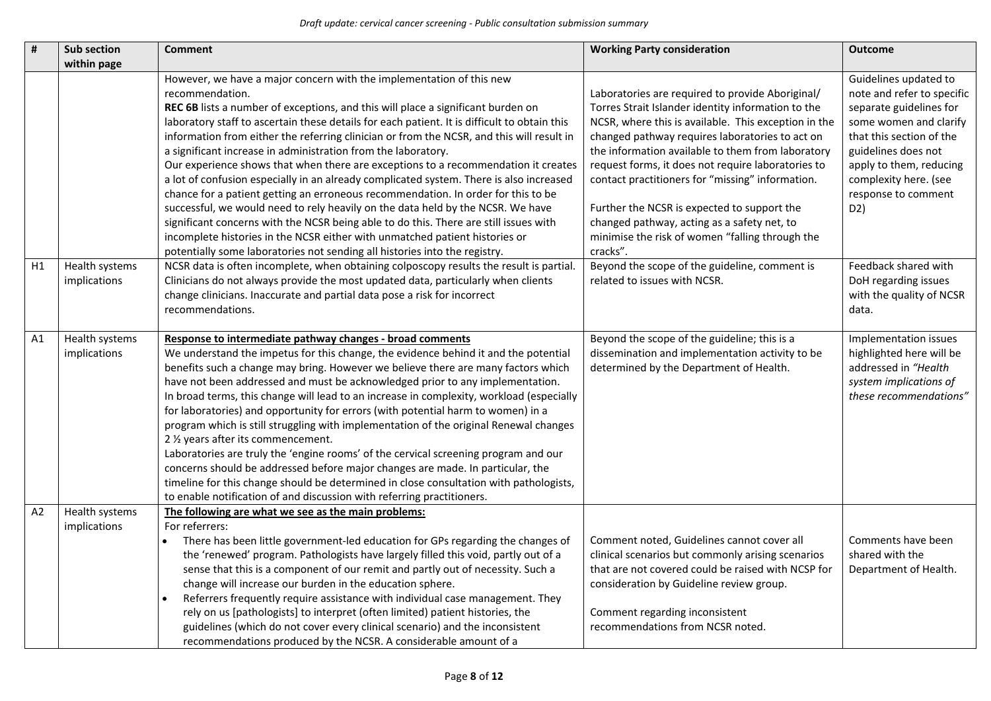| #  | <b>Sub section</b>             | <b>Comment</b>                                                                                                                                                                                                                                                                                                                                                                                                                                                                                                                                                                                                                                                                                                                                                                                                                                                                                                                                                                                                                                           | <b>Working Party consideration</b>                                                                                                                                                                                                                                                                                                                                                                                                                                                                                                            | <b>Outcome</b>                                                                                                                                                                                                                                |
|----|--------------------------------|----------------------------------------------------------------------------------------------------------------------------------------------------------------------------------------------------------------------------------------------------------------------------------------------------------------------------------------------------------------------------------------------------------------------------------------------------------------------------------------------------------------------------------------------------------------------------------------------------------------------------------------------------------------------------------------------------------------------------------------------------------------------------------------------------------------------------------------------------------------------------------------------------------------------------------------------------------------------------------------------------------------------------------------------------------|-----------------------------------------------------------------------------------------------------------------------------------------------------------------------------------------------------------------------------------------------------------------------------------------------------------------------------------------------------------------------------------------------------------------------------------------------------------------------------------------------------------------------------------------------|-----------------------------------------------------------------------------------------------------------------------------------------------------------------------------------------------------------------------------------------------|
|    | within page                    |                                                                                                                                                                                                                                                                                                                                                                                                                                                                                                                                                                                                                                                                                                                                                                                                                                                                                                                                                                                                                                                          |                                                                                                                                                                                                                                                                                                                                                                                                                                                                                                                                               |                                                                                                                                                                                                                                               |
|    |                                | However, we have a major concern with the implementation of this new<br>recommendation.<br>REC 6B lists a number of exceptions, and this will place a significant burden on<br>laboratory staff to ascertain these details for each patient. It is difficult to obtain this<br>information from either the referring clinician or from the NCSR, and this will result in<br>a significant increase in administration from the laboratory.<br>Our experience shows that when there are exceptions to a recommendation it creates<br>a lot of confusion especially in an already complicated system. There is also increased<br>chance for a patient getting an erroneous recommendation. In order for this to be<br>successful, we would need to rely heavily on the data held by the NCSR. We have<br>significant concerns with the NCSR being able to do this. There are still issues with<br>incomplete histories in the NCSR either with unmatched patient histories or<br>potentially some laboratories not sending all histories into the registry. | Laboratories are required to provide Aboriginal/<br>Torres Strait Islander identity information to the<br>NCSR, where this is available. This exception in the<br>changed pathway requires laboratories to act on<br>the information available to them from laboratory<br>request forms, it does not require laboratories to<br>contact practitioners for "missing" information.<br>Further the NCSR is expected to support the<br>changed pathway, acting as a safety net, to<br>minimise the risk of women "falling through the<br>cracks". | Guidelines updated to<br>note and refer to specific<br>separate guidelines for<br>some women and clarify<br>that this section of the<br>guidelines does not<br>apply to them, reducing<br>complexity here. (see<br>response to comment<br>D2) |
| H1 | Health systems<br>implications | NCSR data is often incomplete, when obtaining colposcopy results the result is partial.<br>Clinicians do not always provide the most updated data, particularly when clients<br>change clinicians. Inaccurate and partial data pose a risk for incorrect<br>recommendations.                                                                                                                                                                                                                                                                                                                                                                                                                                                                                                                                                                                                                                                                                                                                                                             | Beyond the scope of the guideline, comment is<br>related to issues with NCSR.                                                                                                                                                                                                                                                                                                                                                                                                                                                                 | Feedback shared with<br>DoH regarding issues<br>with the quality of NCSR<br>data.                                                                                                                                                             |
| A1 | Health systems<br>implications | Response to intermediate pathway changes - broad comments<br>We understand the impetus for this change, the evidence behind it and the potential<br>benefits such a change may bring. However we believe there are many factors which<br>have not been addressed and must be acknowledged prior to any implementation.<br>In broad terms, this change will lead to an increase in complexity, workload (especially<br>for laboratories) and opportunity for errors (with potential harm to women) in a<br>program which is still struggling with implementation of the original Renewal changes<br>2 1/2 years after its commencement.<br>Laboratories are truly the 'engine rooms' of the cervical screening program and our<br>concerns should be addressed before major changes are made. In particular, the<br>timeline for this change should be determined in close consultation with pathologists,<br>to enable notification of and discussion with referring practitioners.                                                                      | Beyond the scope of the guideline; this is a<br>dissemination and implementation activity to be<br>determined by the Department of Health.                                                                                                                                                                                                                                                                                                                                                                                                    | Implementation issues<br>highlighted here will be<br>addressed in "Health<br>system implications of<br>these recommendations"                                                                                                                 |
| A2 | Health systems<br>implications | The following are what we see as the main problems:<br>For referrers:<br>There has been little government-led education for GPs regarding the changes of<br>the 'renewed' program. Pathologists have largely filled this void, partly out of a<br>sense that this is a component of our remit and partly out of necessity. Such a<br>change will increase our burden in the education sphere.<br>Referrers frequently require assistance with individual case management. They<br>rely on us [pathologists] to interpret (often limited) patient histories, the<br>guidelines (which do not cover every clinical scenario) and the inconsistent<br>recommendations produced by the NCSR. A considerable amount of a                                                                                                                                                                                                                                                                                                                                      | Comment noted, Guidelines cannot cover all<br>clinical scenarios but commonly arising scenarios<br>that are not covered could be raised with NCSP for<br>consideration by Guideline review group.<br>Comment regarding inconsistent<br>recommendations from NCSR noted.                                                                                                                                                                                                                                                                       | Comments have been<br>shared with the<br>Department of Health.                                                                                                                                                                                |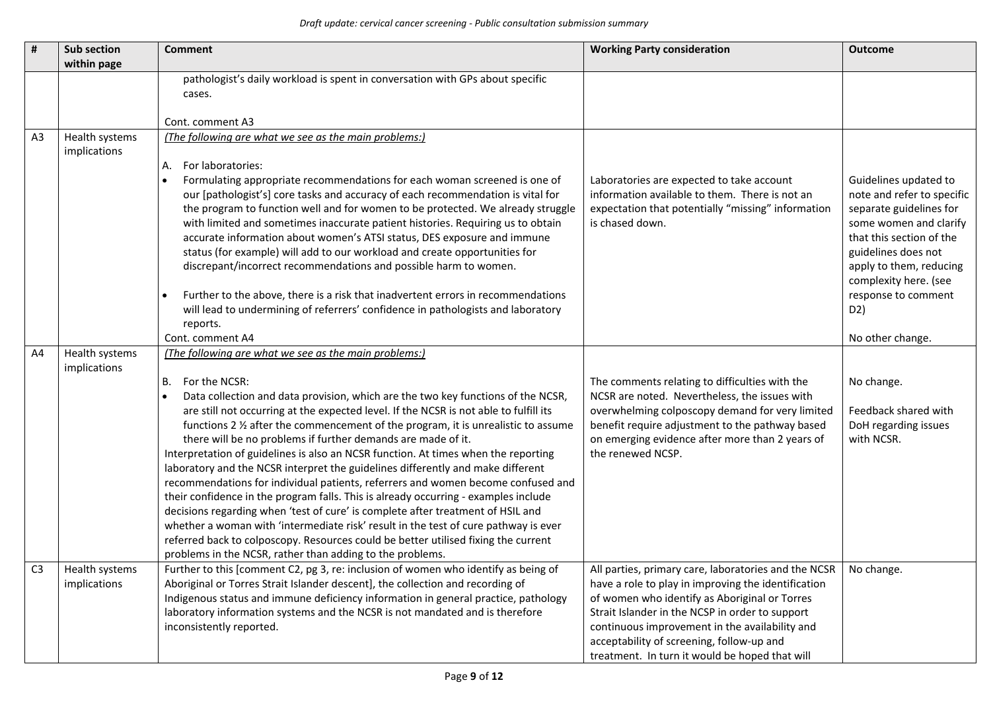| #              | Sub section    | <b>Comment</b>                                                                                                                                                          | <b>Working Party consideration</b>                                          | <b>Outcome</b>             |
|----------------|----------------|-------------------------------------------------------------------------------------------------------------------------------------------------------------------------|-----------------------------------------------------------------------------|----------------------------|
|                | within page    |                                                                                                                                                                         |                                                                             |                            |
|                |                | pathologist's daily workload is spent in conversation with GPs about specific                                                                                           |                                                                             |                            |
|                |                | cases.                                                                                                                                                                  |                                                                             |                            |
|                |                |                                                                                                                                                                         |                                                                             |                            |
|                |                | Cont. comment A3                                                                                                                                                        |                                                                             |                            |
| A <sub>3</sub> | Health systems | (The following are what we see as the main problems:)                                                                                                                   |                                                                             |                            |
|                | implications   | For laboratories:<br>А.                                                                                                                                                 |                                                                             |                            |
|                |                | Formulating appropriate recommendations for each woman screened is one of                                                                                               | Laboratories are expected to take account                                   | Guidelines updated to      |
|                |                | our [pathologist's] core tasks and accuracy of each recommendation is vital for                                                                                         | information available to them. There is not an                              | note and refer to specific |
|                |                | the program to function well and for women to be protected. We already struggle                                                                                         | expectation that potentially "missing" information                          | separate guidelines for    |
|                |                | with limited and sometimes inaccurate patient histories. Requiring us to obtain                                                                                         | is chased down.                                                             | some women and clarify     |
|                |                | accurate information about women's ATSI status, DES exposure and immune                                                                                                 |                                                                             | that this section of the   |
|                |                | status (for example) will add to our workload and create opportunities for                                                                                              |                                                                             | guidelines does not        |
|                |                | discrepant/incorrect recommendations and possible harm to women.                                                                                                        |                                                                             | apply to them, reducing    |
|                |                |                                                                                                                                                                         |                                                                             | complexity here. (see      |
|                |                | Further to the above, there is a risk that inadvertent errors in recommendations                                                                                        |                                                                             | response to comment        |
|                |                | will lead to undermining of referrers' confidence in pathologists and laboratory                                                                                        |                                                                             | D2)                        |
|                |                | reports.<br>Cont. comment A4                                                                                                                                            |                                                                             | No other change.           |
| A4             | Health systems | (The following are what we see as the main problems:)                                                                                                                   |                                                                             |                            |
|                | implications   |                                                                                                                                                                         |                                                                             |                            |
|                |                | For the NCSR:<br>В.                                                                                                                                                     | The comments relating to difficulties with the                              | No change.                 |
|                |                | Data collection and data provision, which are the two key functions of the NCSR,                                                                                        | NCSR are noted. Nevertheless, the issues with                               |                            |
|                |                | are still not occurring at the expected level. If the NCSR is not able to fulfill its                                                                                   | overwhelming colposcopy demand for very limited                             | Feedback shared with       |
|                |                | functions 2 % after the commencement of the program, it is unrealistic to assume                                                                                        | benefit require adjustment to the pathway based                             | DoH regarding issues       |
|                |                | there will be no problems if further demands are made of it.                                                                                                            | on emerging evidence after more than 2 years of                             | with NCSR.                 |
|                |                | Interpretation of guidelines is also an NCSR function. At times when the reporting                                                                                      | the renewed NCSP.                                                           |                            |
|                |                | laboratory and the NCSR interpret the guidelines differently and make different                                                                                         |                                                                             |                            |
|                |                | recommendations for individual patients, referrers and women become confused and<br>their confidence in the program falls. This is already occurring - examples include |                                                                             |                            |
|                |                | decisions regarding when 'test of cure' is complete after treatment of HSIL and                                                                                         |                                                                             |                            |
|                |                | whether a woman with 'intermediate risk' result in the test of cure pathway is ever                                                                                     |                                                                             |                            |
|                |                | referred back to colposcopy. Resources could be better utilised fixing the current                                                                                      |                                                                             |                            |
|                |                | problems in the NCSR, rather than adding to the problems.                                                                                                               |                                                                             |                            |
|                | Health systems | Further to this [comment C2, pg 3, re: inclusion of women who identify as being of                                                                                      | All parties, primary care, laboratories and the NCSR $\parallel$ No change. |                            |
|                | implications   | Aboriginal or Torres Strait Islander descent], the collection and recording of                                                                                          | have a role to play in improving the identification                         |                            |
|                |                | Indigenous status and immune deficiency information in general practice, pathology                                                                                      | of women who identify as Aboriginal or Torres                               |                            |
|                |                | laboratory information systems and the NCSR is not mandated and is therefore                                                                                            | Strait Islander in the NCSP in order to support                             |                            |
|                |                | inconsistently reported.                                                                                                                                                | continuous improvement in the availability and                              |                            |
|                |                |                                                                                                                                                                         | acceptability of screening, follow-up and                                   |                            |
|                |                |                                                                                                                                                                         | treatment. In turn it would be hoped that will                              |                            |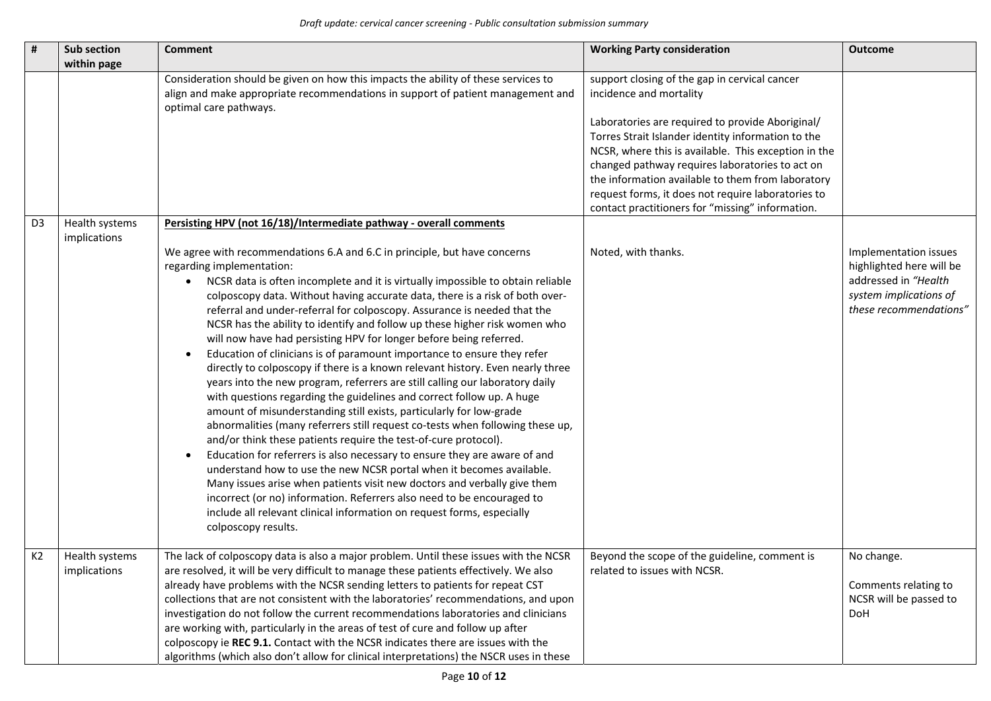| #              | <b>Sub section</b><br>within page | <b>Comment</b>                                                                                                                                                                                                                                                                                                                                                                                                                                                                                                                                                                                                                                                                                                                                                                               | <b>Working Party consideration</b>                                                                                                                                                                                                                                                                                                                                                                                                                           | <b>Outcome</b>                                                                                                                |
|----------------|-----------------------------------|----------------------------------------------------------------------------------------------------------------------------------------------------------------------------------------------------------------------------------------------------------------------------------------------------------------------------------------------------------------------------------------------------------------------------------------------------------------------------------------------------------------------------------------------------------------------------------------------------------------------------------------------------------------------------------------------------------------------------------------------------------------------------------------------|--------------------------------------------------------------------------------------------------------------------------------------------------------------------------------------------------------------------------------------------------------------------------------------------------------------------------------------------------------------------------------------------------------------------------------------------------------------|-------------------------------------------------------------------------------------------------------------------------------|
|                |                                   | Consideration should be given on how this impacts the ability of these services to<br>align and make appropriate recommendations in support of patient management and<br>optimal care pathways.                                                                                                                                                                                                                                                                                                                                                                                                                                                                                                                                                                                              | support closing of the gap in cervical cancer<br>incidence and mortality<br>Laboratories are required to provide Aboriginal/<br>Torres Strait Islander identity information to the<br>NCSR, where this is available. This exception in the<br>changed pathway requires laboratories to act on<br>the information available to them from laboratory<br>request forms, it does not require laboratories to<br>contact practitioners for "missing" information. |                                                                                                                               |
| D <sub>3</sub> | Health systems<br>implications    | Persisting HPV (not 16/18)/Intermediate pathway - overall comments<br>We agree with recommendations 6.A and 6.C in principle, but have concerns<br>regarding implementation:<br>NCSR data is often incomplete and it is virtually impossible to obtain reliable<br>colposcopy data. Without having accurate data, there is a risk of both over-<br>referral and under-referral for colposcopy. Assurance is needed that the<br>NCSR has the ability to identify and follow up these higher risk women who<br>will now have had persisting HPV for longer before being referred.<br>Education of clinicians is of paramount importance to ensure they refer<br>directly to colposcopy if there is a known relevant history. Even nearly three                                                 | Noted, with thanks.                                                                                                                                                                                                                                                                                                                                                                                                                                          | Implementation issues<br>highlighted here will be<br>addressed in "Health<br>system implications of<br>these recommendations" |
|                |                                   | years into the new program, referrers are still calling our laboratory daily<br>with questions regarding the guidelines and correct follow up. A huge<br>amount of misunderstanding still exists, particularly for low-grade<br>abnormalities (many referrers still request co-tests when following these up,<br>and/or think these patients require the test-of-cure protocol).<br>Education for referrers is also necessary to ensure they are aware of and<br>understand how to use the new NCSR portal when it becomes available.<br>Many issues arise when patients visit new doctors and verbally give them<br>incorrect (or no) information. Referrers also need to be encouraged to<br>include all relevant clinical information on request forms, especially<br>colposcopy results. |                                                                                                                                                                                                                                                                                                                                                                                                                                                              |                                                                                                                               |
| K <sub>2</sub> | Health systems<br>implications    | The lack of colposcopy data is also a major problem. Until these issues with the NCSR<br>are resolved, it will be very difficult to manage these patients effectively. We also<br>already have problems with the NCSR sending letters to patients for repeat CST<br>collections that are not consistent with the laboratories' recommendations, and upon<br>investigation do not follow the current recommendations laboratories and clinicians<br>are working with, particularly in the areas of test of cure and follow up after<br>colposcopy ie REC 9.1. Contact with the NCSR indicates there are issues with the<br>algorithms (which also don't allow for clinical interpretations) the NSCR uses in these                                                                            | Beyond the scope of the guideline, comment is<br>related to issues with NCSR.                                                                                                                                                                                                                                                                                                                                                                                | No change.<br>Comments relating to<br>NCSR will be passed to<br>DoH                                                           |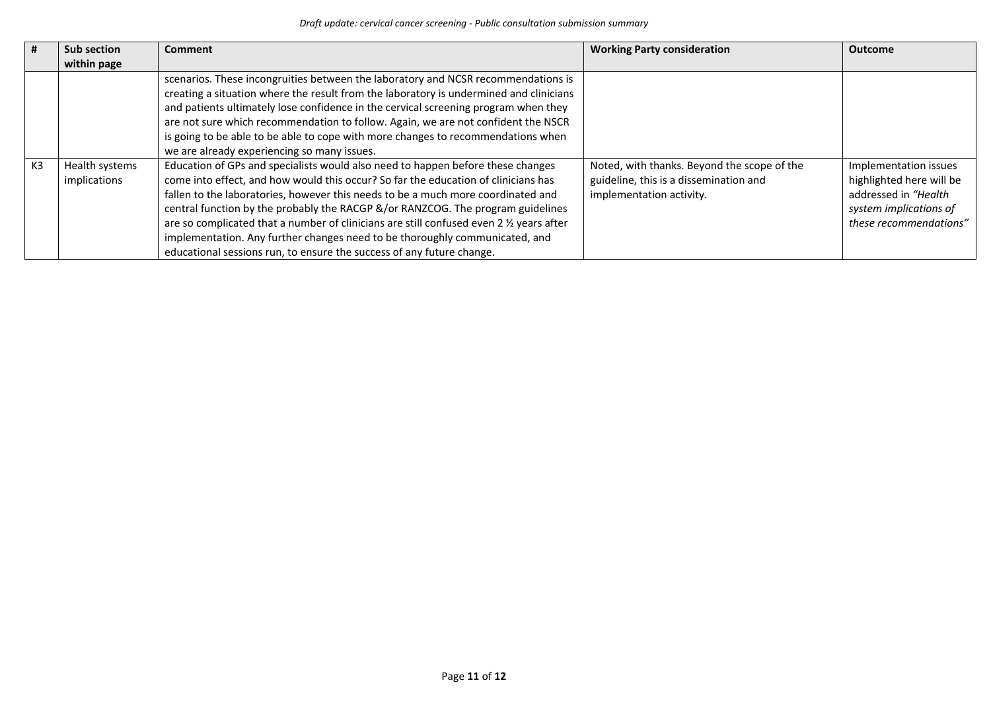| #  | Sub section                    | Comment                                                                                                                                                                                                                                                                                                                                                                                                                                                                                                                                                                                        | <b>Working Party consideration</b>                                                                                | <b>Outcome</b>                                                                                                                |
|----|--------------------------------|------------------------------------------------------------------------------------------------------------------------------------------------------------------------------------------------------------------------------------------------------------------------------------------------------------------------------------------------------------------------------------------------------------------------------------------------------------------------------------------------------------------------------------------------------------------------------------------------|-------------------------------------------------------------------------------------------------------------------|-------------------------------------------------------------------------------------------------------------------------------|
|    | within page                    |                                                                                                                                                                                                                                                                                                                                                                                                                                                                                                                                                                                                |                                                                                                                   |                                                                                                                               |
|    |                                | scenarios. These incongruities between the laboratory and NCSR recommendations is<br>creating a situation where the result from the laboratory is undermined and clinicians<br>and patients ultimately lose confidence in the cervical screening program when they<br>are not sure which recommendation to follow. Again, we are not confident the NSCR<br>is going to be able to be able to cope with more changes to recommendations when<br>we are already experiencing so many issues.                                                                                                     |                                                                                                                   |                                                                                                                               |
| K3 | Health systems<br>implications | Education of GPs and specialists would also need to happen before these changes<br>come into effect, and how would this occur? So far the education of clinicians has<br>fallen to the laboratories, however this needs to be a much more coordinated and<br>central function by the probably the RACGP &/or RANZCOG. The program guidelines<br>are so complicated that a number of clinicians are still confused even 2 % years after<br>implementation. Any further changes need to be thoroughly communicated, and<br>educational sessions run, to ensure the success of any future change. | Noted, with thanks. Beyond the scope of the<br>guideline, this is a dissemination and<br>implementation activity. | Implementation issues<br>highlighted here will be<br>addressed in "Health<br>system implications of<br>these recommendations" |